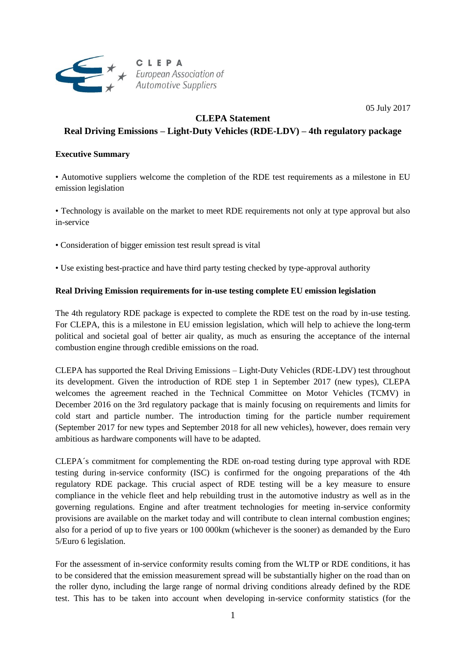

05 July 2017

# **CLEPA Statement**

## **Real Driving Emissions – Light-Duty Vehicles (RDE-LDV) – 4th regulatory package**

## **Executive Summary**

• Automotive suppliers welcome the completion of the RDE test requirements as a milestone in EU emission legislation

• Technology is available on the market to meet RDE requirements not only at type approval but also in-service

- Consideration of bigger emission test result spread is vital
- Use existing best-practice and have third party testing checked by type-approval authority

### **Real Driving Emission requirements for in-use testing complete EU emission legislation**

The 4th regulatory RDE package is expected to complete the RDE test on the road by in-use testing. For CLEPA, this is a milestone in EU emission legislation, which will help to achieve the long-term political and societal goal of better air quality, as much as ensuring the acceptance of the internal combustion engine through credible emissions on the road.

CLEPA has supported the Real Driving Emissions – Light-Duty Vehicles (RDE-LDV) test throughout its development. Given the introduction of RDE step 1 in September 2017 (new types), CLEPA welcomes the agreement reached in the Technical Committee on Motor Vehicles (TCMV) in December 2016 on the 3rd regulatory package that is mainly focusing on requirements and limits for cold start and particle number. The introduction timing for the particle number requirement (September 2017 for new types and September 2018 for all new vehicles), however, does remain very ambitious as hardware components will have to be adapted.

CLEPA´s commitment for complementing the RDE on-road testing during type approval with RDE testing during in-service conformity (ISC) is confirmed for the ongoing preparations of the 4th regulatory RDE package. This crucial aspect of RDE testing will be a key measure to ensure compliance in the vehicle fleet and help rebuilding trust in the automotive industry as well as in the governing regulations. Engine and after treatment technologies for meeting in-service conformity provisions are available on the market today and will contribute to clean internal combustion engines; also for a period of up to five years or 100 000km (whichever is the sooner) as demanded by the Euro 5/Euro 6 legislation.

For the assessment of in-service conformity results coming from the WLTP or RDE conditions, it has to be considered that the emission measurement spread will be substantially higher on the road than on the roller dyno, including the large range of normal driving conditions already defined by the RDE test. This has to be taken into account when developing in-service conformity statistics (for the